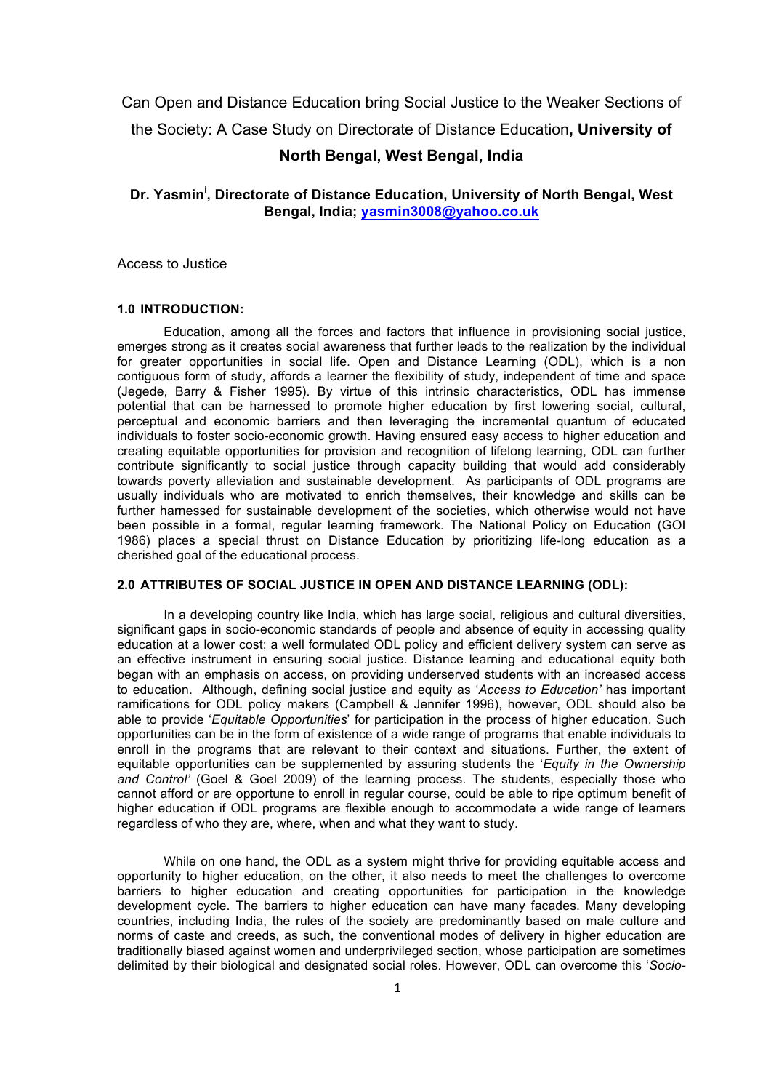Can Open and Distance Education bring Social Justice to the Weaker Sections of

the Society: A Case Study on Directorate of Distance Education**, University of** 

# **North Bengal, West Bengal, India**

# **Dr. Yasmin<sup>i</sup> , Directorate of Distance Education, University of North Bengal, West Bengal, India; yasmin3008@yahoo.co.uk**

Access to Justice

### **1.0 INTRODUCTION:**

Education, among all the forces and factors that influence in provisioning social justice, emerges strong as it creates social awareness that further leads to the realization by the individual for greater opportunities in social life. Open and Distance Learning (ODL), which is a non contiguous form of study, affords a learner the flexibility of study, independent of time and space (Jegede, Barry & Fisher 1995). By virtue of this intrinsic characteristics, ODL has immense potential that can be harnessed to promote higher education by first lowering social, cultural, perceptual and economic barriers and then leveraging the incremental quantum of educated individuals to foster socio-economic growth. Having ensured easy access to higher education and creating equitable opportunities for provision and recognition of lifelong learning, ODL can further contribute significantly to social justice through capacity building that would add considerably towards poverty alleviation and sustainable development. As participants of ODL programs are usually individuals who are motivated to enrich themselves, their knowledge and skills can be further harnessed for sustainable development of the societies, which otherwise would not have been possible in a formal, regular learning framework. The National Policy on Education (GOI 1986) places a special thrust on Distance Education by prioritizing life-long education as a cherished goal of the educational process.

#### **2.0 ATTRIBUTES OF SOCIAL JUSTICE IN OPEN AND DISTANCE LEARNING (ODL):**

In a developing country like India, which has large social, religious and cultural diversities, significant gaps in socio-economic standards of people and absence of equity in accessing quality education at a lower cost; a well formulated ODL policy and efficient delivery system can serve as an effective instrument in ensuring social justice. Distance learning and educational equity both began with an emphasis on access, on providing underserved students with an increased access to education. Although, defining social justice and equity as '*Access to Education'* has important ramifications for ODL policy makers (Campbell & Jennifer 1996), however, ODL should also be able to provide '*Equitable Opportunities*' for participation in the process of higher education. Such opportunities can be in the form of existence of a wide range of programs that enable individuals to enroll in the programs that are relevant to their context and situations. Further, the extent of equitable opportunities can be supplemented by assuring students the '*Equity in the Ownership and Control'* (Goel & Goel 2009) of the learning process. The students, especially those who cannot afford or are opportune to enroll in regular course, could be able to ripe optimum benefit of higher education if ODL programs are flexible enough to accommodate a wide range of learners regardless of who they are, where, when and what they want to study.

While on one hand, the ODL as a system might thrive for providing equitable access and opportunity to higher education, on the other, it also needs to meet the challenges to overcome barriers to higher education and creating opportunities for participation in the knowledge development cycle. The barriers to higher education can have many facades. Many developing countries, including India, the rules of the society are predominantly based on male culture and norms of caste and creeds, as such, the conventional modes of delivery in higher education are traditionally biased against women and underprivileged section, whose participation are sometimes delimited by their biological and designated social roles. However, ODL can overcome this '*Socio-*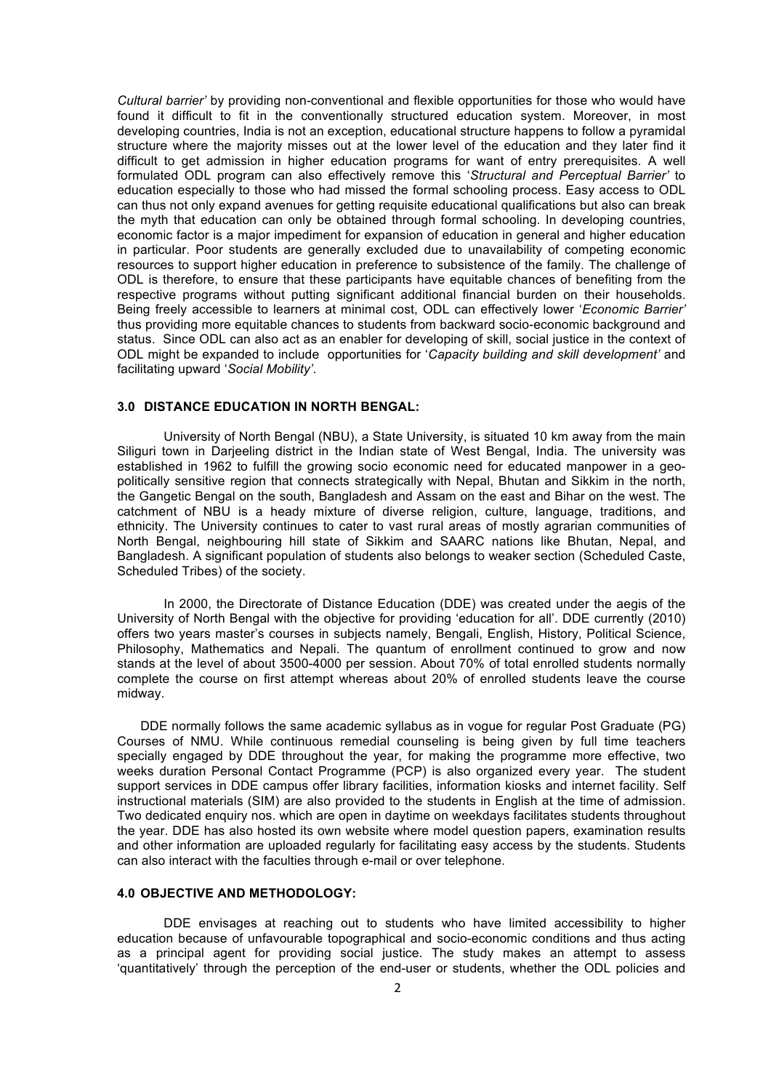*Cultural barrier'* by providing non-conventional and flexible opportunities for those who would have found it difficult to fit in the conventionally structured education system. Moreover, in most developing countries, India is not an exception, educational structure happens to follow a pyramidal structure where the majority misses out at the lower level of the education and they later find it difficult to get admission in higher education programs for want of entry prerequisites. A well formulated ODL program can also effectively remove this '*Structural and Perceptual Barrier'* to education especially to those who had missed the formal schooling process. Easy access to ODL can thus not only expand avenues for getting requisite educational qualifications but also can break the myth that education can only be obtained through formal schooling. In developing countries, economic factor is a major impediment for expansion of education in general and higher education in particular. Poor students are generally excluded due to unavailability of competing economic resources to support higher education in preference to subsistence of the family. The challenge of ODL is therefore, to ensure that these participants have equitable chances of benefiting from the respective programs without putting significant additional financial burden on their households. Being freely accessible to learners at minimal cost, ODL can effectively lower '*Economic Barrier'* thus providing more equitable chances to students from backward socio-economic background and status. Since ODL can also act as an enabler for developing of skill, social justice in the context of ODL might be expanded to include opportunities for '*Capacity building and skill development'* and facilitating upward '*Social Mobility'*.

#### **3.0 DISTANCE EDUCATION IN NORTH BENGAL:**

University of North Bengal (NBU), a State University, is situated 10 km away from the main Siliguri town in Darjeeling district in the Indian state of West Bengal, India. The university was established in 1962 to fulfill the growing socio economic need for educated manpower in a geopolitically sensitive region that connects strategically with Nepal, Bhutan and Sikkim in the north, the Gangetic Bengal on the south, Bangladesh and Assam on the east and Bihar on the west. The catchment of NBU is a heady mixture of diverse religion, culture, language, traditions, and ethnicity. The University continues to cater to vast rural areas of mostly agrarian communities of North Bengal, neighbouring hill state of Sikkim and SAARC nations like Bhutan, Nepal, and Bangladesh. A significant population of students also belongs to weaker section (Scheduled Caste, Scheduled Tribes) of the society.

In 2000, the Directorate of Distance Education (DDE) was created under the aegis of the University of North Bengal with the objective for providing 'education for all'. DDE currently (2010) offers two years master's courses in subjects namely, Bengali, English, History, Political Science, Philosophy, Mathematics and Nepali. The quantum of enrollment continued to grow and now stands at the level of about 3500-4000 per session. About 70% of total enrolled students normally complete the course on first attempt whereas about 20% of enrolled students leave the course midway.

DDE normally follows the same academic syllabus as in vogue for regular Post Graduate (PG) Courses of NMU. While continuous remedial counseling is being given by full time teachers specially engaged by DDE throughout the year, for making the programme more effective, two weeks duration Personal Contact Programme (PCP) is also organized every year. The student support services in DDE campus offer library facilities, information kiosks and internet facility. Self instructional materials (SIM) are also provided to the students in English at the time of admission. Two dedicated enquiry nos. which are open in daytime on weekdays facilitates students throughout the year. DDE has also hosted its own website where model question papers, examination results and other information are uploaded regularly for facilitating easy access by the students. Students can also interact with the faculties through e-mail or over telephone.

# **4.0 OBJECTIVE AND METHODOLOGY:**

DDE envisages at reaching out to students who have limited accessibility to higher education because of unfavourable topographical and socio-economic conditions and thus acting as a principal agent for providing social justice. The study makes an attempt to assess 'quantitatively' through the perception of the end-user or students, whether the ODL policies and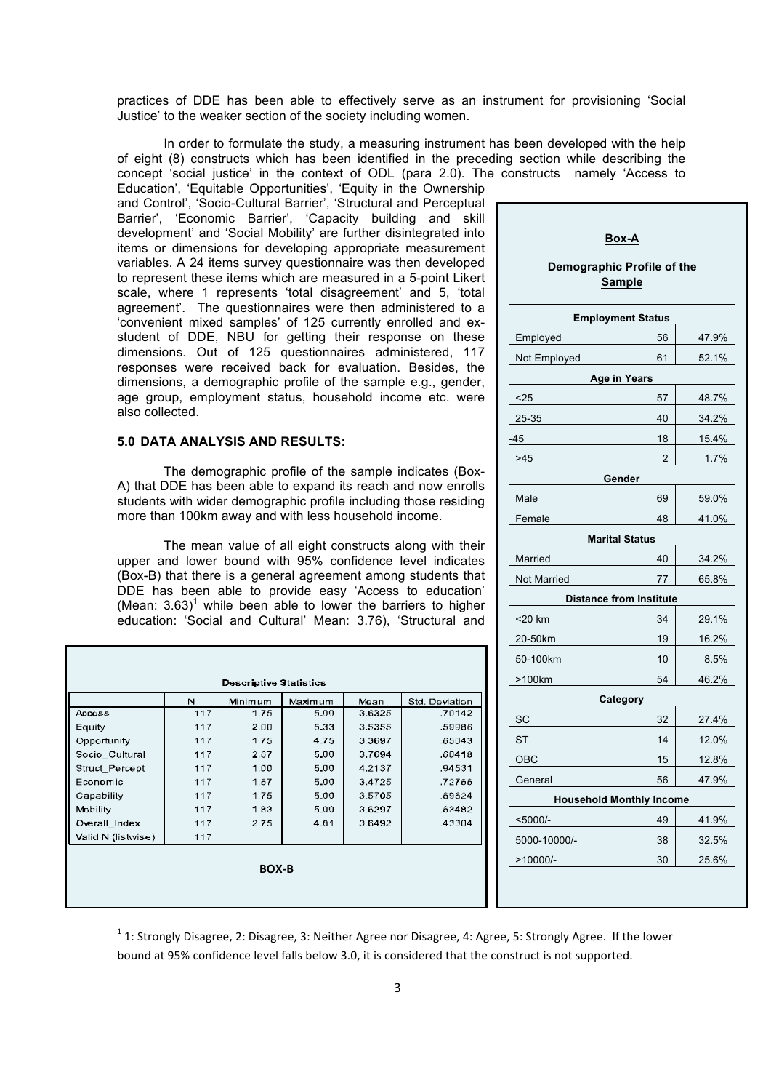practices of DDE has been able to effectively serve as an instrument for provisioning 'Social Justice' to the weaker section of the society including women.

In order to formulate the study, a measuring instrument has been developed with the help of eight (8) constructs which has been identified in the preceding section while describing the concept 'social justice' in the context of ODL (para 2.0). The constructs namely 'Access to

Education', 'Equitable Opportunities', 'Equity in the Ownership and Control', 'Socio-Cultural Barrier', 'Structural and Perceptual Barrier', 'Economic Barrier', 'Capacity building and skill development' and 'Social Mobility' are further disintegrated into items or dimensions for developing appropriate measurement variables. A 24 items survey questionnaire was then developed to represent these items which are measured in a 5-point Likert scale, where 1 represents 'total disagreement' and 5, 'total agreement'. The questionnaires were then administered to a 'convenient mixed samples' of 125 currently enrolled and exstudent of DDE, NBU for getting their response on these dimensions. Out of 125 questionnaires administered, 117 responses were received back for evaluation. Besides, the dimensions, a demographic profile of the sample e.g., gender, age group, employment status, household income etc. were also collected.

#### **5.0 DATA ANALYSIS AND RESULTS:**

The demographic profile of the sample indicates (Box-A) that DDE has been able to expand its reach and now enrolls students with wider demographic profile including those residing more than 100km away and with less household income.

The mean value of all eight constructs along with their upper and lower bound with 95% confidence level indicates (Box-B) that there is a general agreement among students that DDE has been able to provide easy 'Access to education' (Mean:  $3.63$ )<sup>1</sup> while been able to lower the barriers to higher education: 'Social and Cultural' Mean: 3.76), 'Structural and

|                    | N   | Minimum | Maximum | Mcan   | Std. Doviation |  |  |  |  |
|--------------------|-----|---------|---------|--------|----------------|--|--|--|--|
| <b>Access</b>      | 117 | 1.75    | 5.00    | 3.6325 | .70142         |  |  |  |  |
| Equity             | 117 | 2.00    | 5.33    | 3.5355 | .59986         |  |  |  |  |
| Opportunity        | 117 | 1.75    | 4.75    | 3.3697 | .65043         |  |  |  |  |
| Socio Cultural     | 117 | 2.67    | 5.00    | 3.7694 | .60418         |  |  |  |  |
| Struct Percept     | 117 | 1.00    | 5.00    | 4.2137 | .94531         |  |  |  |  |
| Economic           | 117 | 1.67    | 5.00    | 3.4725 | .72766         |  |  |  |  |
| Capability         | 117 | 1.75    | 5.00    | 3.5705 | .69624         |  |  |  |  |
| Mobility           | 117 | 1.83    | 5.00    | 3.6297 | .63482         |  |  |  |  |
| Overall Index      | 117 | 2.75    | 4.61    | 3.6492 | .43304         |  |  |  |  |
| Valid N (listwise) | 117 |         |         |        |                |  |  |  |  |
| <b>BOX-B</b>       |     |         |         |        |                |  |  |  |  |

<u> 1989 - Jan Samuel Barbara, margaret e</u>

# **Box-A Demographic Profile of the**

# **Sample**

| <b>Employment Status</b>       |                                 |       |  |  |  |  |  |  |
|--------------------------------|---------------------------------|-------|--|--|--|--|--|--|
| Employed                       | 56                              | 47.9% |  |  |  |  |  |  |
| Not Employed                   | 61                              | 52.1% |  |  |  |  |  |  |
| Age in Years                   |                                 |       |  |  |  |  |  |  |
| $25$<br>48.7%<br>57            |                                 |       |  |  |  |  |  |  |
| 25-35                          | 40                              | 34.2% |  |  |  |  |  |  |
| 45                             | 18                              | 15.4% |  |  |  |  |  |  |
| >45                            | 2                               | 1.7%  |  |  |  |  |  |  |
| Gender                         |                                 |       |  |  |  |  |  |  |
| Male                           | 69                              | 59.0% |  |  |  |  |  |  |
| Female                         | 48                              | 41.0% |  |  |  |  |  |  |
| <b>Marital Status</b>          |                                 |       |  |  |  |  |  |  |
| Married                        | 40                              | 34.2% |  |  |  |  |  |  |
| <b>Not Married</b>             | 77                              | 65.8% |  |  |  |  |  |  |
| <b>Distance from Institute</b> |                                 |       |  |  |  |  |  |  |
| <20 km                         | 34                              | 29.1% |  |  |  |  |  |  |
| 20-50km                        | 19                              | 16.2% |  |  |  |  |  |  |
| 50-100km                       | 10                              | 8.5%  |  |  |  |  |  |  |
| >100km                         | 54                              | 46.2% |  |  |  |  |  |  |
|                                | <b>Category</b>                 |       |  |  |  |  |  |  |
| SC                             | 32                              | 27.4% |  |  |  |  |  |  |
| ST                             | 14                              | 12.0% |  |  |  |  |  |  |
| OBC                            | 15                              | 12.8% |  |  |  |  |  |  |
| General                        | 56                              | 47.9% |  |  |  |  |  |  |
|                                | <b>Household Monthly Income</b> |       |  |  |  |  |  |  |
| $<$ 5000/-                     | 49                              | 41.9% |  |  |  |  |  |  |
| 5000-10000/-                   | 38                              | 32.5% |  |  |  |  |  |  |
| >10000/-                       | 30                              | 25.6% |  |  |  |  |  |  |

 $1$  1: Strongly Disagree, 2: Disagree, 3: Neither Agree nor Disagree, 4: Agree, 5: Strongly Agree. If the lower bound at 95% confidence level falls below 3.0, it is considered that the construct is not supported.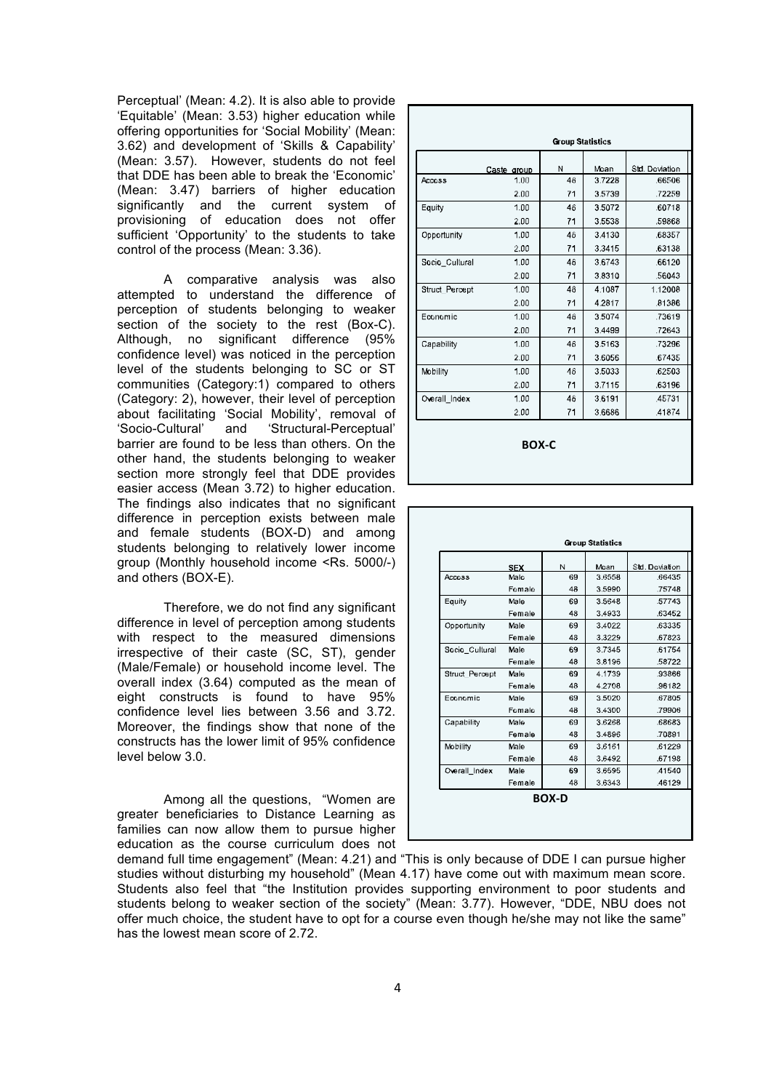Perceptual' (Mean: 4.2). It is also able to provide 'Equitable' (Mean: 3.53) higher education while offering opportunities for 'Social Mobility' (Mean: 3.62) and development of 'Skills & Capability' (Mean: 3.57). However, students do not feel that DDE has been able to break the 'Economic' (Mean: 3.47) barriers of higher education significantly and the current system of provisioning of education does not offer sufficient 'Opportunity' to the students to take control of the process (Mean: 3.36).

A comparative analysis was also attempted to understand the difference of perception of students belonging to weaker section of the society to the rest (Box-C). Although, no significant difference (95% confidence level) was noticed in the perception level of the students belonging to SC or ST communities (Category:1) compared to others (Category: 2), however, their level of perception about facilitating 'Social Mobility', removal of 'Socio-Cultural' and 'Structural-Perceptual' barrier are found to be less than others. On the other hand, the students belonging to weaker section more strongly feel that DDE provides easier access (Mean 3.72) to higher education. The findings also indicates that no significant difference in perception exists between male and female students (BOX-D) and among students belonging to relatively lower income group (Monthly household income <Rs. 5000/-) and others (BOX-E).

Therefore, we do not find any significant difference in level of perception among students with respect to the measured dimensions irrespective of their caste (SC, ST), gender (Male/Female) or household income level. The overall index (3.64) computed as the mean of eight constructs is found to have 95% confidence level lies between 3.56 and 3.72. Moreover, the findings show that none of the constructs has the lower limit of 95% confidence level below 3.0.

Among all the questions, "Women are greater beneficiaries to Distance Learning as families can now allow them to pursue higher education as the course curriculum does not

|                       |             | <b>Group Statistics</b> |        |                |
|-----------------------|-------------|-------------------------|--------|----------------|
|                       | Caste group | N                       | Mcan   | Std. Deviation |
| <b>Access</b>         | 1.00        | 46                      | 3.7228 | .66506         |
|                       | 2.00        | 71                      | 3.5739 | .72259         |
| Equity                | 1.00        | 46                      | 3.5072 | .60718         |
|                       | 2.00        | 71                      | 3.5538 | .59868         |
| Opportunity           | 1.00        | 46                      | 3.4130 | .68357         |
|                       | 2.00        | 71                      | 3.3415 | .63138         |
| Socio Cultural        | 1.00        | 46                      | 3.6743 | .66120         |
|                       | 2.00        | 71                      | 3.8310 | .56043         |
| <b>Struct Percept</b> | 1.00        | 46                      | 4.1087 | 1.12008        |
|                       | 2.00        | 71                      | 4.2817 | .81386         |
| Economic              | 1.00        | 46                      | 3.5074 | .73619         |
|                       | 2.00        | 71                      | 3.4499 | .72643         |
| Capability            | 1.00        | 46                      | 3.5163 | .73296         |
|                       | 2.00        | 71                      | 3.6056 | .67435         |
| Mobility              | 1.00        | 16                      | 3.5033 | .62503         |
|                       | 2.00        | 71                      | 3.7115 | .63196         |
| Overall Index         | 1.00        | 46                      | 3.6191 | 45731          |
|                       | 2.00        | 71                      | 3.6686 | .41874         |

**BOX-C**

|                       |            |    | <b>Group Statistics</b> |                |  |  |  |  |  |  |
|-----------------------|------------|----|-------------------------|----------------|--|--|--|--|--|--|
|                       | <b>SEX</b> | N  | Moan                    | Std. Doviation |  |  |  |  |  |  |
| Accoss                | Male       | 69 | 3.6558                  | 66435          |  |  |  |  |  |  |
|                       | Female     | 48 | 3.5990                  | 75748          |  |  |  |  |  |  |
| Equity                | Male       | 69 | 3.5648                  | 57743          |  |  |  |  |  |  |
|                       | Female     | 48 | 3.4933                  | .63452         |  |  |  |  |  |  |
| Opportunity           | Male       | 69 | 3.4022                  | .63335         |  |  |  |  |  |  |
|                       | Female     | 48 | 3.3229                  | .67823         |  |  |  |  |  |  |
| Socio Cullural        | Male       | 69 | 3.7345                  | 61754          |  |  |  |  |  |  |
|                       | Female     | 48 | 3.8196                  | 58722          |  |  |  |  |  |  |
| <b>Struct Percept</b> | Male       | 69 | 4.1739                  | 93866          |  |  |  |  |  |  |
|                       | Female     | 48 | 4.2708                  | 96182          |  |  |  |  |  |  |
| Economic              | Male       | 69 | 3.5020                  | .67805         |  |  |  |  |  |  |
|                       | Female     | 48 | 3.4300                  | .79906         |  |  |  |  |  |  |
| Capability            | Male       | 69 | 3.6268                  | .68683         |  |  |  |  |  |  |
|                       | Female     | 48 | 3.4896                  | .70891         |  |  |  |  |  |  |
| Mobility              | Male       | 69 | 3.6161                  | .61229         |  |  |  |  |  |  |
|                       | Female     | 48 | 3.6492                  | .67198         |  |  |  |  |  |  |
| Overall Index         | Male       | 69 | 36595                   | 41540          |  |  |  |  |  |  |
|                       | Female     | 48 | 3.6343                  | 46129          |  |  |  |  |  |  |

demand full time engagement" (Mean: 4.21) and "This is only because of DDE I can pursue higher studies without disturbing my household" (Mean 4.17) have come out with maximum mean score. Students also feel that "the Institution provides supporting environment to poor students and students belong to weaker section of the society" (Mean: 3.77). However, "DDE, NBU does not offer much choice, the student have to opt for a course even though he/she may not like the same" has the lowest mean score of 2.72.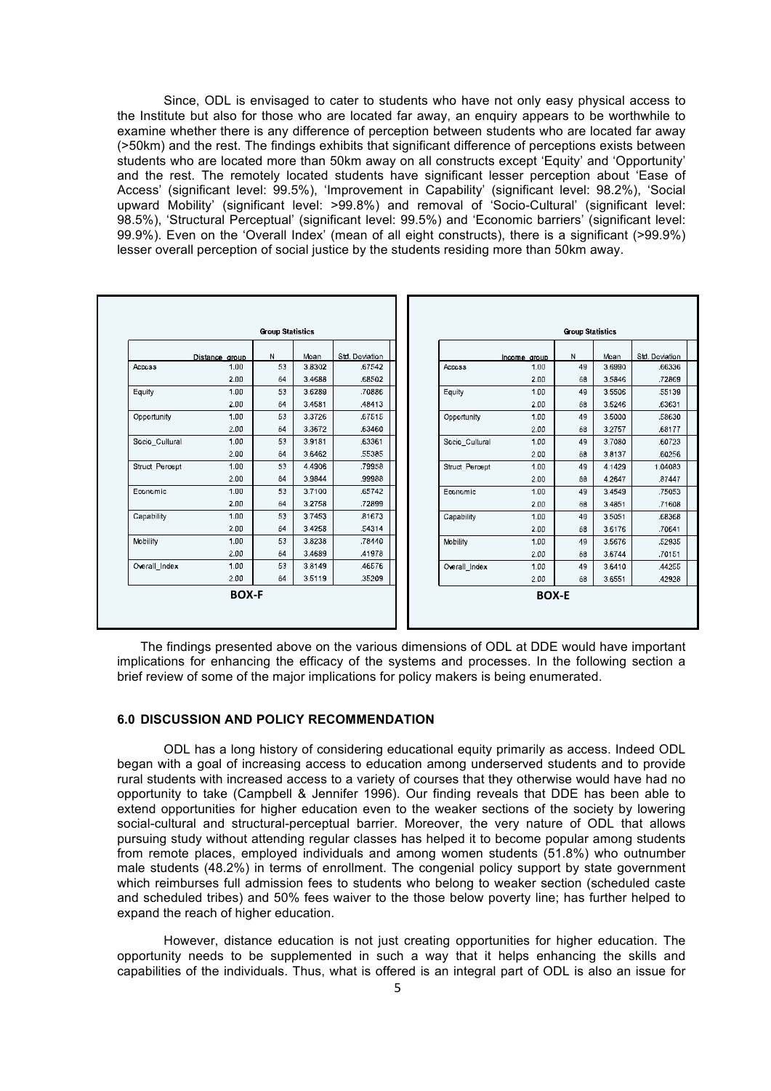Since, ODL is envisaged to cater to students who have not only easy physical access to the Institute but also for those who are located far away, an enquiry appears to be worthwhile to examine whether there is any difference of perception between students who are located far away (>50km) and the rest. The findings exhibits that significant difference of perceptions exists between students who are located more than 50km away on all constructs except 'Equity' and 'Opportunity' and the rest. The remotely located students have significant lesser perception about 'Ease of Access' (significant level: 99.5%), 'Improvement in Capability' (significant level: 98.2%), 'Social upward Mobility' (significant level: >99.8%) and removal of 'Socio-Cultural' (significant level: 98.5%), 'Structural Perceptual' (significant level: 99.5%) and 'Economic barriers' (significant level: 99.9%). Even on the 'Overall Index' (mean of all eight constructs), there is a significant (>99.9%) lesser overall perception of social justice by the students residing more than 50km away.

| <b>Group Statistics</b> |                |    |        |                |  | <b>Group Statistics</b> |              |    |        |                |
|-------------------------|----------------|----|--------|----------------|--|-------------------------|--------------|----|--------|----------------|
|                         | Distance group | N  | Mcan   | Std. Doviation |  |                         | Income group | N  | Mcan   | Std. Doviation |
| Accoss                  | 1.00           | 53 | 3.8302 | 67542          |  | <b>ACCCSS</b>           | 1.00         | 49 | 3.6990 | .66336         |
|                         | 2.00           | 64 | 3.4688 | 68502          |  |                         | 2.00         | 68 | 3.5846 | .72869         |
| Equity                  | 1.00           | 53 | 3.6289 | .70886         |  | Equity                  | 1.00         | 49 | 3.5506 | .55139         |
|                         | 2.00           | 64 | 3.4581 | .48413         |  |                         | 2.00         | 68 | 3.5246 | .63631         |
| Opportunity             | 1.00           | 53 | 3,3726 | .67515         |  | Opportunity             | 1.00         | 49 | 3.5000 | .58630         |
|                         | 2.00           | 64 | 3.3672 | .63460         |  |                         | 2.00         | 68 | 3.2757 | .68177         |
| Socio Cultural          | 1.00           | 53 | 3.9181 | .63361         |  | Socio_Cultural          | 1.00         | 49 | 3.7080 | .60723         |
|                         | 2.00           | 64 | 3.6462 | 55385          |  |                         | 2.00         | 68 | 3.8137 | .60256         |
| <b>Struct Percept</b>   | 1.00           | 53 | 4.4906 | .79958         |  | <b>Struct Percept</b>   | 1.00         | 49 | 4.1429 | 1.04083        |
|                         | 2.00           | 64 | 3.9844 | 99988          |  |                         | 2.00         | 68 | 4.2647 | .87447         |
| Economic                | 1.00           | 53 | 3.7100 | .65742         |  | Economic                | 1.00         | 49 | 3.4549 | .75053         |
|                         | 2.00           | 64 | 3.2758 | .72899         |  |                         | 2.00         | 68 | 3.4851 | .71608         |
| Capability              | 1.00           | 53 | 3.7453 | .81673         |  | Capability              | 1.00         | 49 | 3.5051 | .68368         |
|                         | 2.00           | 64 | 3.4258 | .54314         |  |                         | 2.00         | 68 | 3.6176 | .70641         |
| Mobility                | 1.00           | 53 | 3.8238 | .78440         |  | Mobility                | 1.00         | 49 | 3.5676 | .52935         |
|                         | 2.00           | 64 | 3.4689 | .41978         |  |                         | 2.00         | 68 | 3.6744 | .70151         |
| Overall_Index           | 1.00           | 53 | 3.8149 | 46576          |  | Overall Index           | 1.00         | 49 | 3.6410 | .44255         |
|                         | 2.00           | 64 | 3.5119 | 35209          |  |                         | 2.00         | 68 | 3.6551 | .42928         |
|                         | <b>BOX-F</b>   |    |        |                |  |                         | <b>BOX-E</b> |    |        |                |
|                         |                |    |        |                |  |                         |              |    |        |                |
|                         |                |    |        |                |  |                         |              |    |        |                |

The findings presented above on the various dimensions of ODL at DDE would have important implications for enhancing the efficacy of the systems and processes. In the following section a brief review of some of the major implications for policy makers is being enumerated.

# **6.0 DISCUSSION AND POLICY RECOMMENDATION**

ODL has a long history of considering educational equity primarily as access. Indeed ODL began with a goal of increasing access to education among underserved students and to provide rural students with increased access to a variety of courses that they otherwise would have had no opportunity to take (Campbell & Jennifer 1996). Our finding reveals that DDE has been able to extend opportunities for higher education even to the weaker sections of the society by lowering social-cultural and structural-perceptual barrier. Moreover, the very nature of ODL that allows pursuing study without attending regular classes has helped it to become popular among students from remote places, employed individuals and among women students (51.8%) who outnumber male students (48.2%) in terms of enrollment. The congenial policy support by state government which reimburses full admission fees to students who belong to weaker section (scheduled caste and scheduled tribes) and 50% fees waiver to the those below poverty line; has further helped to expand the reach of higher education.

However, distance education is not just creating opportunities for higher education. The opportunity needs to be supplemented in such a way that it helps enhancing the skills and capabilities of the individuals. Thus, what is offered is an integral part of ODL is also an issue for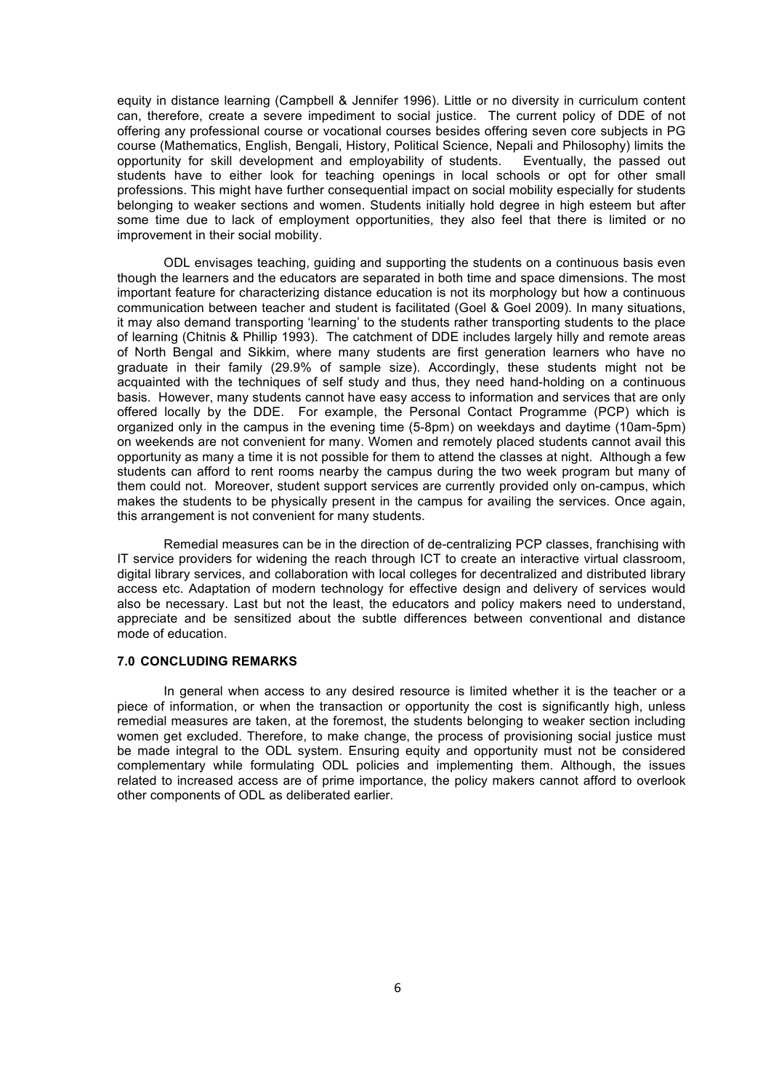equity in distance learning (Campbell & Jennifer 1996). Little or no diversity in curriculum content can, therefore, create a severe impediment to social justice. The current policy of DDE of not offering any professional course or vocational courses besides offering seven core subjects in PG course (Mathematics, English, Bengali, History, Political Science, Nepali and Philosophy) limits the opportunity for skill development and employability of students. students have to either look for teaching openings in local schools or opt for other small professions. This might have further consequential impact on social mobility especially for students belonging to weaker sections and women. Students initially hold degree in high esteem but after some time due to lack of employment opportunities, they also feel that there is limited or no improvement in their social mobility.

ODL envisages teaching, guiding and supporting the students on a continuous basis even though the learners and the educators are separated in both time and space dimensions. The most important feature for characterizing distance education is not its morphology but how a continuous communication between teacher and student is facilitated (Goel & Goel 2009). In many situations, it may also demand transporting 'learning' to the students rather transporting students to the place of learning (Chitnis & Phillip 1993). The catchment of DDE includes largely hilly and remote areas of North Bengal and Sikkim, where many students are first generation learners who have no graduate in their family (29.9% of sample size). Accordingly, these students might not be acquainted with the techniques of self study and thus, they need hand-holding on a continuous basis. However, many students cannot have easy access to information and services that are only offered locally by the DDE. For example, the Personal Contact Programme (PCP) which is organized only in the campus in the evening time (5-8pm) on weekdays and daytime (10am-5pm) on weekends are not convenient for many. Women and remotely placed students cannot avail this opportunity as many a time it is not possible for them to attend the classes at night. Although a few students can afford to rent rooms nearby the campus during the two week program but many of them could not. Moreover, student support services are currently provided only on-campus, which makes the students to be physically present in the campus for availing the services. Once again, this arrangement is not convenient for many students.

Remedial measures can be in the direction of de-centralizing PCP classes, franchising with IT service providers for widening the reach through ICT to create an interactive virtual classroom, digital library services, and collaboration with local colleges for decentralized and distributed library access etc. Adaptation of modern technology for effective design and delivery of services would also be necessary. Last but not the least, the educators and policy makers need to understand, appreciate and be sensitized about the subtle differences between conventional and distance mode of education.

# **7.0 CONCLUDING REMARKS**

In general when access to any desired resource is limited whether it is the teacher or a piece of information, or when the transaction or opportunity the cost is significantly high, unless remedial measures are taken, at the foremost, the students belonging to weaker section including women get excluded. Therefore, to make change, the process of provisioning social justice must be made integral to the ODL system. Ensuring equity and opportunity must not be considered complementary while formulating ODL policies and implementing them. Although, the issues related to increased access are of prime importance, the policy makers cannot afford to overlook other components of ODL as deliberated earlier.